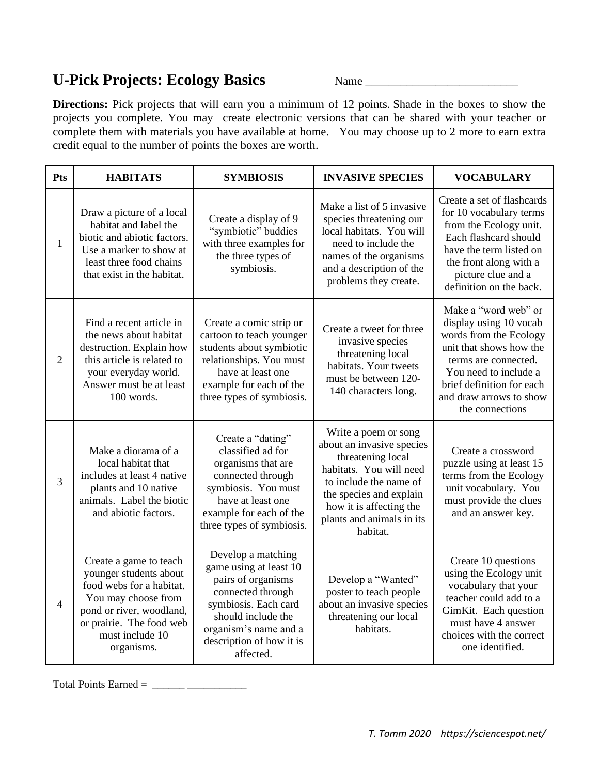## **U-Pick Projects: Ecology Basics** Name \_\_\_\_\_\_\_\_\_\_\_\_\_\_\_\_\_\_\_\_\_\_\_\_\_\_

**Directions:** Pick projects that will earn you a minimum of 12 points. Shade in the boxes to show the projects you complete. You may create electronic versions that can be shared with your teacher or complete them with materials you have available at home. You may choose up to 2 more to earn extra credit equal to the number of points the boxes are worth.

| Pts            | <b>HABITATS</b>                                                                                                                                                                              | <b>SYMBIOSIS</b>                                                                                                                                                                                        | <b>INVASIVE SPECIES</b>                                                                                                                                                                                                    | <b>VOCABULARY</b>                                                                                                                                                                                                               |
|----------------|----------------------------------------------------------------------------------------------------------------------------------------------------------------------------------------------|---------------------------------------------------------------------------------------------------------------------------------------------------------------------------------------------------------|----------------------------------------------------------------------------------------------------------------------------------------------------------------------------------------------------------------------------|---------------------------------------------------------------------------------------------------------------------------------------------------------------------------------------------------------------------------------|
| $\mathbf{1}$   | Draw a picture of a local<br>habitat and label the<br>biotic and abiotic factors.<br>Use a marker to show at<br>least three food chains<br>that exist in the habitat.                        | Create a display of 9<br>"symbiotic" buddies<br>with three examples for<br>the three types of<br>symbiosis.                                                                                             | Make a list of 5 invasive<br>species threatening our<br>local habitats. You will<br>need to include the<br>names of the organisms<br>and a description of the<br>problems they create.                                     | Create a set of flashcards<br>for 10 vocabulary terms<br>from the Ecology unit.<br>Each flashcard should<br>have the term listed on<br>the front along with a<br>picture clue and a<br>definition on the back.                  |
| $\overline{2}$ | Find a recent article in<br>the news about habitat<br>destruction. Explain how<br>this article is related to<br>your everyday world.<br>Answer must be at least<br>100 words.                | Create a comic strip or<br>cartoon to teach younger<br>students about symbiotic<br>relationships. You must<br>have at least one<br>example for each of the<br>three types of symbiosis.                 | Create a tweet for three<br>invasive species<br>threatening local<br>habitats. Your tweets<br>must be between 120-<br>140 characters long.                                                                                 | Make a "word web" or<br>display using 10 vocab<br>words from the Ecology<br>unit that shows how the<br>terms are connected.<br>You need to include a<br>brief definition for each<br>and draw arrows to show<br>the connections |
| 3              | Make a diorama of a<br>local habitat that<br>includes at least 4 native<br>plants and 10 native<br>animals. Label the biotic<br>and abiotic factors.                                         | Create a "dating"<br>classified ad for<br>organisms that are<br>connected through<br>symbiosis. You must<br>have at least one<br>example for each of the<br>three types of symbiosis.                   | Write a poem or song<br>about an invasive species<br>threatening local<br>habitats. You will need<br>to include the name of<br>the species and explain<br>how it is affecting the<br>plants and animals in its<br>habitat. | Create a crossword<br>puzzle using at least 15<br>terms from the Ecology<br>unit vocabulary. You<br>must provide the clues<br>and an answer key.                                                                                |
| $\overline{4}$ | Create a game to teach<br>younger students about<br>food webs for a habitat.<br>You may choose from<br>pond or river, woodland,<br>or prairie. The food web<br>must include 10<br>organisms. | Develop a matching<br>game using at least 10<br>pairs of organisms<br>connected through<br>symbiosis. Each card<br>should include the<br>organism's name and a<br>description of how it is<br>affected. | Develop a "Wanted"<br>poster to teach people<br>about an invasive species<br>threatening our local<br>habitats.                                                                                                            | Create 10 questions<br>using the Ecology unit<br>vocabulary that your<br>teacher could add to a<br>GimKit. Each question<br>must have 4 answer<br>choices with the correct<br>one identified.                                   |

Total Points Earned =  $\frac{1}{2}$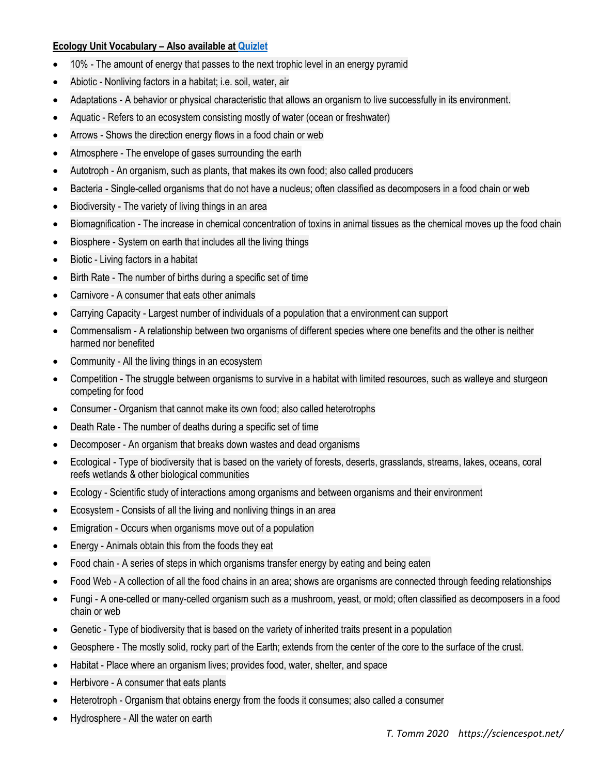## **Ecology Unit Vocabulary – Also available a[t Quizlet](https://quizlet.com/439348018/ecology-unit-3-vocab-flash-cards/)**

- 10% The amount of energy that passes to the next trophic level in an energy pyramid
- Abiotic Nonliving factors in a habitat; i.e. soil, water, air
- Adaptations A behavior or physical characteristic that allows an organism to live successfully in its environment.
- Aquatic Refers to an ecosystem consisting mostly of water (ocean or freshwater)
- Arrows Shows the direction energy flows in a food chain or web
- Atmosphere The envelope of gases surrounding the earth
- Autotroph An organism, such as plants, that makes its own food; also called producers
- Bacteria Single-celled organisms that do not have a nucleus; often classified as decomposers in a food chain or web
- Biodiversity The variety of living things in an area
- Biomagnification The increase in chemical concentration of toxins in animal tissues as the chemical moves up the food chain
- Biosphere System on earth that includes all the living things
- Biotic Living factors in a habitat
- Birth Rate The number of births during a specific set of time
- Carnivore A consumer that eats other animals
- Carrying Capacity Largest number of individuals of a population that a environment can support
- Commensalism A relationship between two organisms of different species where one benefits and the other is neither harmed nor benefited
- Community All the living things in an ecosystem
- Competition The struggle between organisms to survive in a habitat with limited resources, such as walleye and sturgeon competing for food
- Consumer Organism that cannot make its own food; also called heterotrophs
- Death Rate The number of deaths during a specific set of time
- Decomposer An organism that breaks down wastes and dead organisms
- Ecological Type of biodiversity that is based on the variety of forests, deserts, grasslands, streams, lakes, oceans, coral reefs wetlands & other biological communities
- Ecology Scientific study of interactions among organisms and between organisms and their environment
- Ecosystem Consists of all the living and nonliving things in an area
- Emigration Occurs when organisms move out of a population
- Energy Animals obtain this from the foods they eat
- Food chain A series of steps in which organisms transfer energy by eating and being eaten
- Food Web A collection of all the food chains in an area; shows are organisms are connected through feeding relationships
- Fungi A one-celled or many-celled organism such as a mushroom, yeast, or mold; often classified as decomposers in a food chain or web
- Genetic Type of biodiversity that is based on the variety of inherited traits present in a population
- Geosphere The mostly solid, rocky part of the Earth; extends from the center of the core to the surface of the crust.
- Habitat Place where an organism lives; provides food, water, shelter, and space
- Herbivore A consumer that eats plants
- Heterotroph Organism that obtains energy from the foods it consumes; also called a consumer
- Hydrosphere All the water on earth